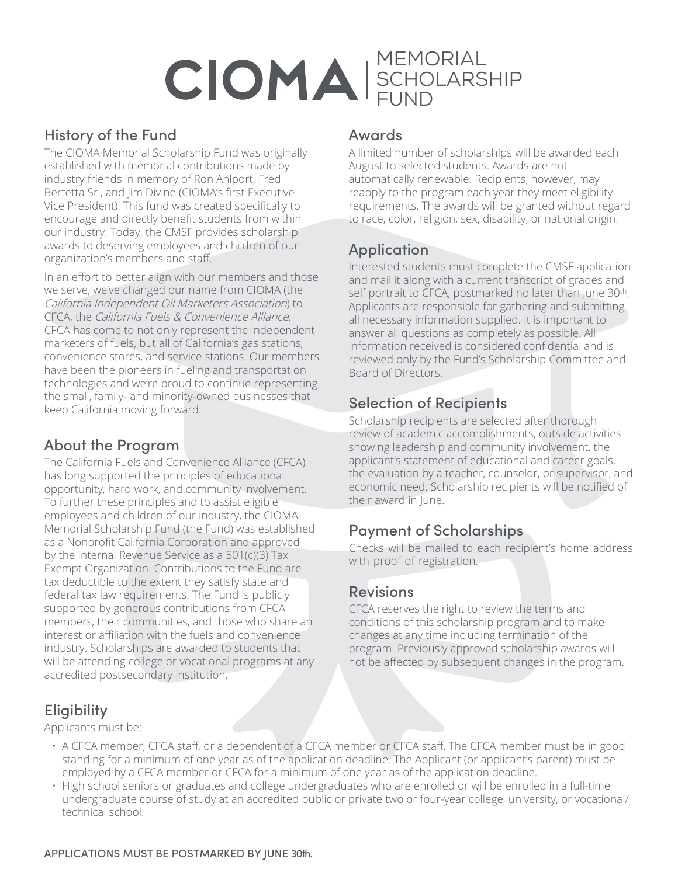# CIOMA SCHOLARS **SCHOLARSHIP** FUND

## History of the Fund

The CIOMA Memorial Scholarship Fund was originally established with memorial contributions made by industry friends in memory of Ron Ahlport, Fred Bertetta Sr., and Jim Divine (CIOMA's first Executive Vice President). This fund was created specifically to encourage and directly benefit students from within our industry. Today, the CMSF provides scholarship awards to deserving employees and children of our organization's members and staff.

In an effort to better align with our members and those we serve, we've changed our name from CIOMA (the California Independent Oil Marketers Association) to CFCA, the California Fuels & Convenience Alliance. CFCA has come to not only represent the independent marketers of fuels, but all of California's gas stations, convenience stores, and service stations. Our members have been the pioneers in fueling and transportation technologies and we're proud to continue representing the small, family- and minority-owned businesses that keep California moving forward.

### About the Program

The California Fuels and Convenience Alliance (CFCA) has long supported the principles of educational opportunity, hard work, and community involvement. To further these principles and to assist eligible employees and children of our industry, the CIOMA Memorial Scholarship Fund (the Fund) was established as a Nonprofit California Corporation and approved by the Internal Revenue Service as a 501(c)(3) Tax Exempt Organization. Contributions to the Fund are tax deductible to the extent they satisfy state and federal tax law requirements. The Fund is publicly supported by generous contributions from CFCA members, their communities, and those who share an interest or affiliation with the fuels and convenience industry. Scholarships are awarded to students that will be attending college or vocational programs at any accredited postsecondary institution.

#### Awards

A limited number of scholarships will be awarded each August to selected students. Awards are not automatically renewable. Recipients, however, may reapply to the program each year they meet eligibility requirements. The awards will be granted without regard to race, color, religion, sex, disability, or national origin.

# Application

Interested students must complete the CMSF application and mail it along with a current transcript of grades and self portrait to CFCA, postmarked no later than June 30<sup>th</sup>. Applicants are responsible for gathering and submitting all necessary information supplied. It is important to answer all questions as completely as possible. All information received is considered confidential and is reviewed only by the Fund's Scholarship Committee and Board of Directors.

## Selection of Recipients

Scholarship recipients are selected after thorough review of academic accomplishments, outside activities showing leadership and community involvement, the applicant's statement of educational and career goals, the evaluation by a teacher, counselor, or supervisor, and economic need. Scholarship recipients will be notified of their award in June.

### Payment of Scholarships

Checks will be mailed to each recipient's home address with proof of registration.

### Revisions

CFCA reserves the right to review the terms and conditions of this scholarship program and to make changes at any time including termination of the program. Previously approved scholarship awards will not be affected by subsequent changes in the program.

# **Eligibility**

Applicants must be:

- A CFCA member, CFCA staff, or a dependent of a CFCA member or CFCA staff. The CFCA member must be in good standing for a minimum of one year as of the application deadline. The Applicant (or applicant's parent) must be employed by a CFCA member or CFCA for a minimum of one year as of the application deadline.
- High school seniors or graduates and college undergraduates who are enrolled or will be enrolled in a full-time undergraduate course of study at an accredited public or private two or four-year college, university, or vocational/ technical school.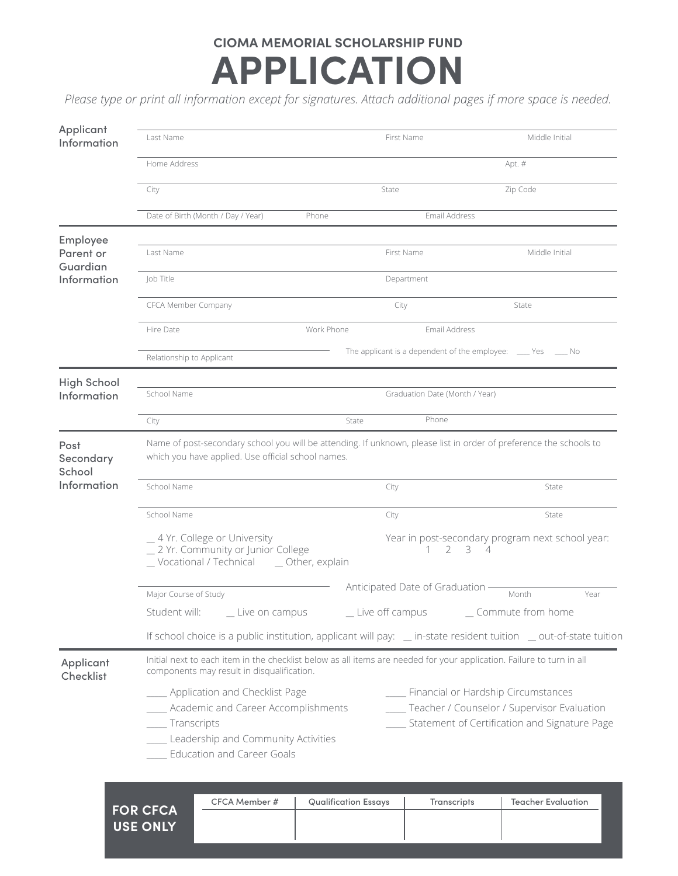# **CIOMA MEMORIAL SCHOLARSHIP FUND APPLICATION**

*Please type or print all information except for signatures. Attach additional pages if more space is needed.*

| Applicant<br>Information          | Last Name                                                                                                                                                                |                                                                 | First Name                       | Middle Initial                                                                                                                          |  |
|-----------------------------------|--------------------------------------------------------------------------------------------------------------------------------------------------------------------------|-----------------------------------------------------------------|----------------------------------|-----------------------------------------------------------------------------------------------------------------------------------------|--|
|                                   | Home Address<br>Apt. #                                                                                                                                                   |                                                                 |                                  |                                                                                                                                         |  |
|                                   | City                                                                                                                                                                     |                                                                 | State                            | Zip Code                                                                                                                                |  |
|                                   | Date of Birth (Month / Day / Year)                                                                                                                                       | Phone                                                           | Email Address                    |                                                                                                                                         |  |
| Employee<br>Parent or             | Last Name                                                                                                                                                                |                                                                 | First Name                       | Middle Initial                                                                                                                          |  |
| Guardian<br>Information           | Job Title                                                                                                                                                                |                                                                 | Department                       |                                                                                                                                         |  |
|                                   | CFCA Member Company                                                                                                                                                      |                                                                 | City                             | State                                                                                                                                   |  |
|                                   | Hire Date                                                                                                                                                                | Work Phone                                                      | Email Address                    |                                                                                                                                         |  |
|                                   | Relationship to Applicant                                                                                                                                                |                                                                 |                                  | The applicant is a dependent of the employee: _____ Yes ______ No                                                                       |  |
| <b>High School</b><br>Information | School Name                                                                                                                                                              |                                                                 | Graduation Date (Month / Year)   |                                                                                                                                         |  |
|                                   | City                                                                                                                                                                     | State                                                           | Phone                            |                                                                                                                                         |  |
| Post<br>Secondary<br>School       | Name of post-secondary school you will be attending. If unknown, please list in order of preference the schools to<br>which you have applied. Use official school names. |                                                                 |                                  |                                                                                                                                         |  |
| Information                       | School Name                                                                                                                                                              |                                                                 | City                             | State                                                                                                                                   |  |
|                                   | School Name                                                                                                                                                              |                                                                 | City                             | State                                                                                                                                   |  |
|                                   | _4 Yr. College or University<br>_2 Yr. Community or Junior College<br>_Vocational / Technical ___ Other, explain                                                         | Year in post-secondary program next school year:<br>$2 \t3 \t4$ |                                  |                                                                                                                                         |  |
|                                   | Major Course of Study                                                                                                                                                    |                                                                 | Anticipated Date of Graduation - | Month<br>Year                                                                                                                           |  |
|                                   | Student will: ______ Live on campus                                                                                                                                      |                                                                 | _ Live off campus                | Commute from home                                                                                                                       |  |
|                                   |                                                                                                                                                                          |                                                                 |                                  | If school choice is a public institution, applicant will pay: _ in-state resident tuition _ out-of-state tuition                        |  |
| Applicant<br>Checklist            | Initial next to each item in the checklist below as all items are needed for your application. Failure to turn in all<br>components may result in disqualification.      |                                                                 |                                  |                                                                                                                                         |  |
|                                   | _ Application and Checklist Page<br>Academic and Career Accomplishments<br>_____ Transcripts<br>Leadership and Community Activities<br><b>Education and Career Goals</b> |                                                                 |                                  | ___ Financial or Hardship Circumstances<br>Teacher / Counselor / Supervisor Evaluation<br>Statement of Certification and Signature Page |  |

|                                    | CFCA Member # | <b>Qualification Essays</b> | <b>Transcripts</b> | <b>Teacher Evaluation</b> |
|------------------------------------|---------------|-----------------------------|--------------------|---------------------------|
| <b>FOR CFCA</b><br><b>USE ONLY</b> |               |                             |                    |                           |
|                                    |               |                             |                    |                           |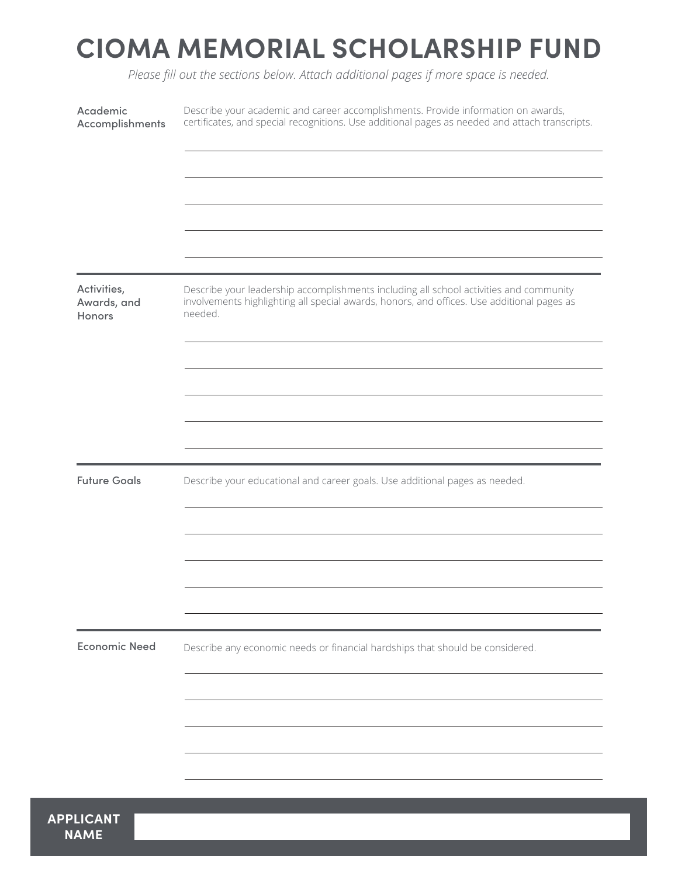# **CIOMA MEMORIAL SCHOLARSHIP FUND**

*Please fill out the sections below. Attach additional pages if more space is needed.*

| Academic<br>Accomplishments          | Describe your academic and career accomplishments. Provide information on awards,<br>certificates, and special recognitions. Use additional pages as needed and attach transcripts.             |
|--------------------------------------|-------------------------------------------------------------------------------------------------------------------------------------------------------------------------------------------------|
|                                      |                                                                                                                                                                                                 |
|                                      |                                                                                                                                                                                                 |
|                                      |                                                                                                                                                                                                 |
|                                      |                                                                                                                                                                                                 |
|                                      |                                                                                                                                                                                                 |
| Activities,<br>Awards, and<br>Honors | Describe your leadership accomplishments including all school activities and community<br>involvements highlighting all special awards, honors, and offices. Use additional pages as<br>needed. |
|                                      |                                                                                                                                                                                                 |
|                                      |                                                                                                                                                                                                 |
|                                      |                                                                                                                                                                                                 |
|                                      |                                                                                                                                                                                                 |
|                                      |                                                                                                                                                                                                 |
| <b>Future Goals</b>                  | Describe your educational and career goals. Use additional pages as needed.                                                                                                                     |
|                                      |                                                                                                                                                                                                 |
|                                      |                                                                                                                                                                                                 |
|                                      |                                                                                                                                                                                                 |
|                                      |                                                                                                                                                                                                 |
|                                      |                                                                                                                                                                                                 |
| <b>Economic Need</b>                 | Describe any economic needs or financial hardships that should be considered.                                                                                                                   |
|                                      |                                                                                                                                                                                                 |
|                                      |                                                                                                                                                                                                 |
|                                      |                                                                                                                                                                                                 |
|                                      |                                                                                                                                                                                                 |
|                                      |                                                                                                                                                                                                 |

**NAME**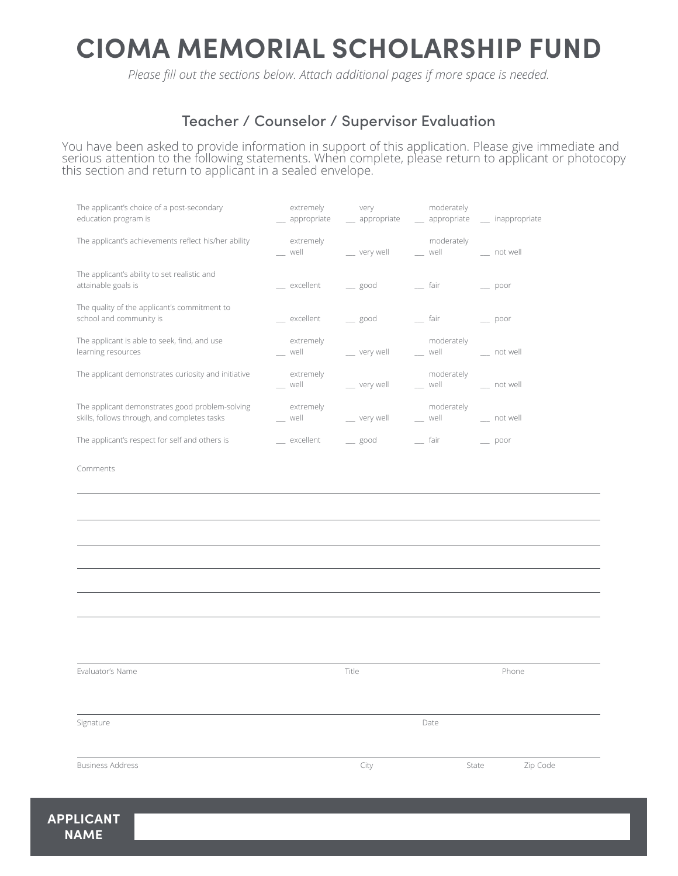# **CIOMA MEMORIAL SCHOLARSHIP FUND**

*Please fill out the sections below. Attach additional pages if more space is needed.*

## Teacher / Counselor / Supervisor Evaluation

You have been asked to provide information in support of this application. Please give immediate and serious attention to the following statements. When complete, please return to applicant or photocopy this section and return to applicant in a sealed envelope.

| The applicant's choice of a post-secondary<br>education program is                              | extremely                                                                                                                                                                                                                                   | very and the state of the state of the state of the state of the state of the state of the state of the state o | moderately<br>__ appropriate ___ appropriate ___ appropriate __ inappropriate                                                                                                                                                               |                           |
|-------------------------------------------------------------------------------------------------|---------------------------------------------------------------------------------------------------------------------------------------------------------------------------------------------------------------------------------------------|-----------------------------------------------------------------------------------------------------------------|---------------------------------------------------------------------------------------------------------------------------------------------------------------------------------------------------------------------------------------------|---------------------------|
| The applicant's achievements reflect his/her ability                                            | extremely<br>well and the state of the state of the state of the state of the state of the state of the state of the state of the state of the state of the state of the state of the state of the state of the state of the state of the s |                                                                                                                 | moderately<br>__ very well ___ _ well ___ __ __ not well                                                                                                                                                                                    |                           |
| The applicant's ability to set realistic and<br>attainable goals is                             |                                                                                                                                                                                                                                             | __ excellent ___ good ____ fair                                                                                 |                                                                                                                                                                                                                                             | $\rule{1em}{0.15mm}$ poor |
| The quality of the applicant's commitment to<br>school and community is                         | __ excellent __ good                                                                                                                                                                                                                        |                                                                                                                 | __ fair                                                                                                                                                                                                                                     | $\rule{1em}{0.15mm}$ poor |
| The applicant is able to seek, find, and use<br>learning resources                              | extremely<br>well and the state of the state of the state of the state of the state of the state of the state of the state of the state of the state of the state of the state of the state of the state of the state of the state of the s |                                                                                                                 | moderately<br>__ very well __ _ _ well __ _ _ _ _ not well                                                                                                                                                                                  |                           |
| The applicant demonstrates curiosity and initiative                                             | extremely<br>well and the state of the state of the state of the state of the state of the state of the state of the state of the state of the state of the state of the state of the state of the state of the state of the state of the s |                                                                                                                 | moderately<br>__ very well __ _ _ well __ _ _ _ _ not well                                                                                                                                                                                  |                           |
| The applicant demonstrates good problem-solving<br>skills, follows through, and completes tasks | extremely                                                                                                                                                                                                                                   | __ well ___ __ __ very well                                                                                     | moderately<br>well and the same of the same of the same of the same of the same of the same of the same of the same of the same of the same of the same of the same of the same of the same of the same of the same of the same of the same | __ not well               |
| The applicant's respect for self and others is                                                  | excellent                                                                                                                                                                                                                                   | $\equiv$ good                                                                                                   | $-$ fair                                                                                                                                                                                                                                    | $\rule{1em}{0.15mm}$ poor |

Comments

| Evaluator's Name        | Title |       | Phone    |  |
|-------------------------|-------|-------|----------|--|
| Signature               | Date  |       |          |  |
| <b>Business Address</b> | City  | State | Zip Code |  |